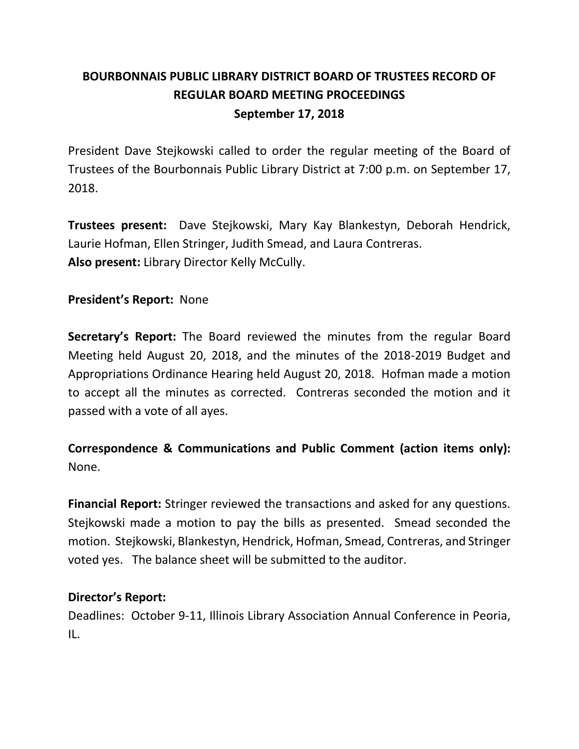# **BOURBONNAIS PUBLIC LIBRARY DISTRICT BOARD OF TRUSTEES RECORD OF REGULAR BOARD MEETING PROCEEDINGS September 17, 2018**

President Dave Stejkowski called to order the regular meeting of the Board of Trustees of the Bourbonnais Public Library District at 7:00 p.m. on September 17, 2018.

**Trustees present:** Dave Stejkowski, Mary Kay Blankestyn, Deborah Hendrick, Laurie Hofman, Ellen Stringer, Judith Smead, and Laura Contreras. **Also present:** Library Director Kelly McCully.

**President's Report:** None

**Secretary's Report:** The Board reviewed the minutes from the regular Board Meeting held August 20, 2018, and the minutes of the 2018-2019 Budget and Appropriations Ordinance Hearing held August 20, 2018. Hofman made a motion to accept all the minutes as corrected. Contreras seconded the motion and it passed with a vote of all ayes.

## **Correspondence & Communications and Public Comment (action items only):** None.

**Financial Report:** Stringer reviewed the transactions and asked for any questions. Stejkowski made a motion to pay the bills as presented. Smead seconded the motion. Stejkowski, Blankestyn, Hendrick, Hofman, Smead, Contreras, and Stringer voted yes. The balance sheet will be submitted to the auditor.

## **Director's Report:**

Deadlines: October 9-11, Illinois Library Association Annual Conference in Peoria, IL.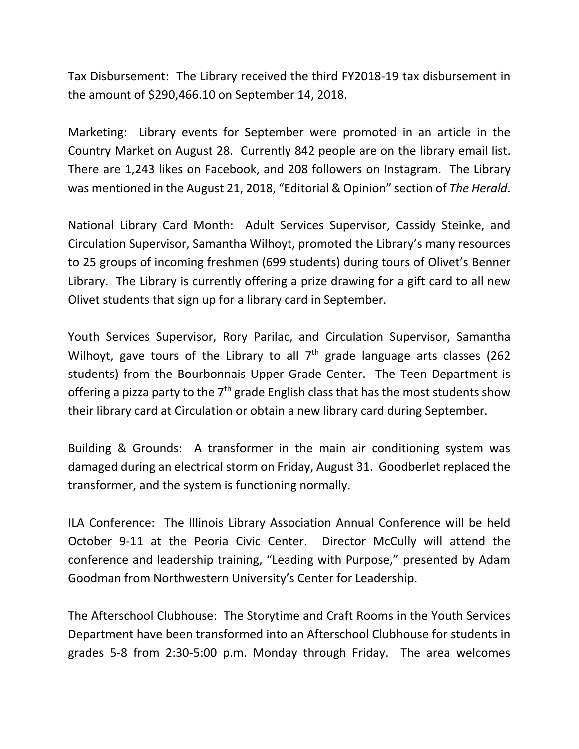Tax Disbursement: The Library received the third FY2018-19 tax disbursement in the amount of \$290,466.10 on September 14, 2018.

Marketing: Library events for September were promoted in an article in the Country Market on August 28. Currently 842 people are on the library email list. There are 1,243 likes on Facebook, and 208 followers on Instagram. The Library was mentioned in the August 21, 2018, "Editorial & Opinion" section of *The Herald*.

National Library Card Month: Adult Services Supervisor, Cassidy Steinke, and Circulation Supervisor, Samantha Wilhoyt, promoted the Library's many resources to 25 groups of incoming freshmen (699 students) during tours of Olivet's Benner Library. The Library is currently offering a prize drawing for a gift card to all new Olivet students that sign up for a library card in September.

Youth Services Supervisor, Rory Parilac, and Circulation Supervisor, Samantha Wilhoyt, gave tours of the Library to all  $7<sup>th</sup>$  grade language arts classes (262) students) from the Bourbonnais Upper Grade Center. The Teen Department is offering a pizza party to the  $7<sup>th</sup>$  grade English class that has the most students show their library card at Circulation or obtain a new library card during September.

Building & Grounds: A transformer in the main air conditioning system was damaged during an electrical storm on Friday, August 31. Goodberlet replaced the transformer, and the system is functioning normally.

ILA Conference: The Illinois Library Association Annual Conference will be held October 9-11 at the Peoria Civic Center. Director McCully will attend the conference and leadership training, "Leading with Purpose," presented by Adam Goodman from Northwestern University's Center for Leadership.

The Afterschool Clubhouse: The Storytime and Craft Rooms in the Youth Services Department have been transformed into an Afterschool Clubhouse for students in grades 5-8 from 2:30-5:00 p.m. Monday through Friday. The area welcomes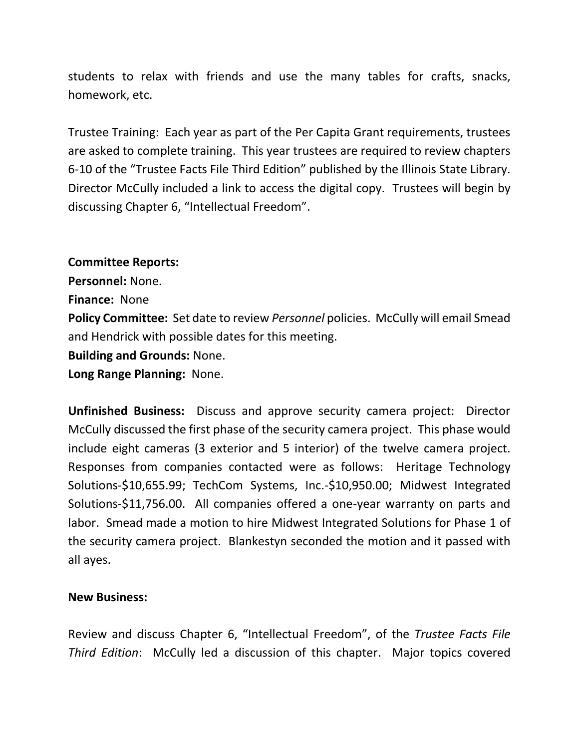students to relax with friends and use the many tables for crafts, snacks, homework, etc.

Trustee Training: Each year as part of the Per Capita Grant requirements, trustees are asked to complete training. This year trustees are required to review chapters 6-10 of the "Trustee Facts File Third Edition" published by the Illinois State Library. Director McCully included a link to access the digital copy. Trustees will begin by discussing Chapter 6, "Intellectual Freedom".

### **Committee Reports:**

**Personnel:** None.

**Finance:** None

**Policy Committee:** Set date to review *Personnel* policies. McCully will email Smead and Hendrick with possible dates for this meeting.

**Building and Grounds:** None.

**Long Range Planning:** None.

**Unfinished Business:** Discuss and approve security camera project: Director McCully discussed the first phase of the security camera project. This phase would include eight cameras (3 exterior and 5 interior) of the twelve camera project. Responses from companies contacted were as follows: Heritage Technology Solutions-\$10,655.99; TechCom Systems, Inc.-\$10,950.00; Midwest Integrated Solutions-\$11,756.00. All companies offered a one-year warranty on parts and labor. Smead made a motion to hire Midwest Integrated Solutions for Phase 1 of the security camera project. Blankestyn seconded the motion and it passed with all ayes.

### **New Business:**

Review and discuss Chapter 6, "Intellectual Freedom", of the *Trustee Facts File Third Edition*: McCully led a discussion of this chapter. Major topics covered